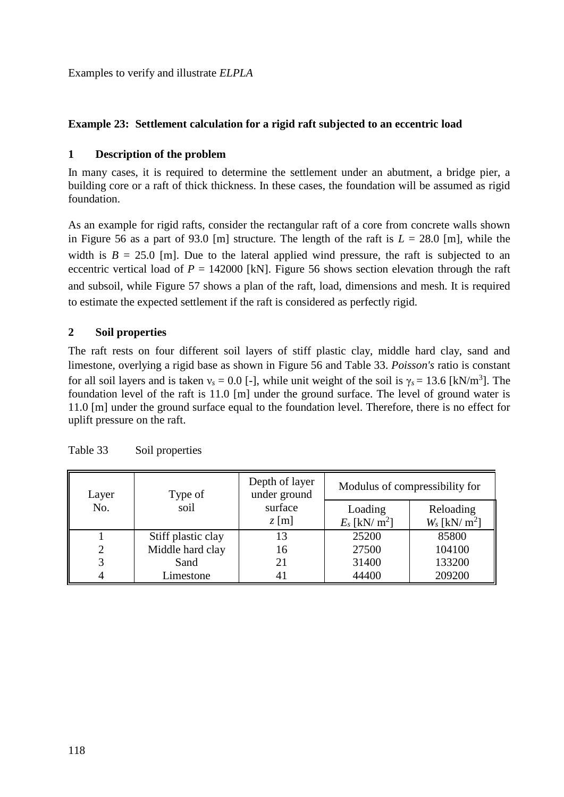Examples to verify and illustrate *ELPLA*

# **Example 23: Settlement calculation for a rigid raft subjected to an eccentric load**

### **1 Description of the problem**

In many cases, it is required to determine the settlement under an abutment, a bridge pier, a building core or a raft of thick thickness. In these cases, the foundation will be assumed as rigid foundation.

As an example for rigid rafts, consider the rectangular raft of a core from concrete walls shown in [Figure 56](#page-1-0) as a part of 93.0 [m] structure. The length of the raft is  $L = 28.0$  [m], while the width is  $B = 25.0$  [m]. Due to the lateral applied wind pressure, the raft is subjected to an eccentric vertical load of  $P = 142000$  [kN]. [Figure 56](#page-1-0) shows section elevation through the raft and subsoil, while [Figure 57](#page-2-0) shows a plan of the raft, load, dimensions and mesh. It is required to estimate the expected settlement if the raft is considered as perfectly rigid.

# **2 Soil properties**

The raft rests on four different soil layers of stiff plastic clay, middle hard clay, sand and limestone, overlying a rigid base as shown in [Figure 56](#page-1-0) and [Table 33.](#page-0-0) *Poisson's* ratio is constant for all soil layers and is taken  $v_s = 0.0$  [-], while unit weight of the soil is  $\gamma_s = 13.6$  [kN/m<sup>3</sup>]. The foundation level of the raft is 11.0 [m] under the ground surface. The level of ground water is 11.0 [m] under the ground surface equal to the foundation level. Therefore, there is no effect for uplift pressure on the raft.

| Layer | Type of            | Depth of layer<br>under ground | Modulus of compressibility for |                             |
|-------|--------------------|--------------------------------|--------------------------------|-----------------------------|
| No.   | soil               | surface                        | Loading                        | Reloading                   |
|       |                    | $z$ [m]                        | $E_s$ [kN/ m <sup>2</sup> ]    | $W_s$ [kN/ m <sup>2</sup> ] |
|       | Stiff plastic clay | 13                             | 25200                          | 85800                       |
|       | Middle hard clay   | 16                             | 27500                          | 104100                      |
|       | Sand               | 21                             | 31400                          | 133200                      |
|       | Limestone          | 41                             | 44400                          | 209200                      |

<span id="page-0-0"></span>

| Table 33 |  | Soil properties |
|----------|--|-----------------|
|----------|--|-----------------|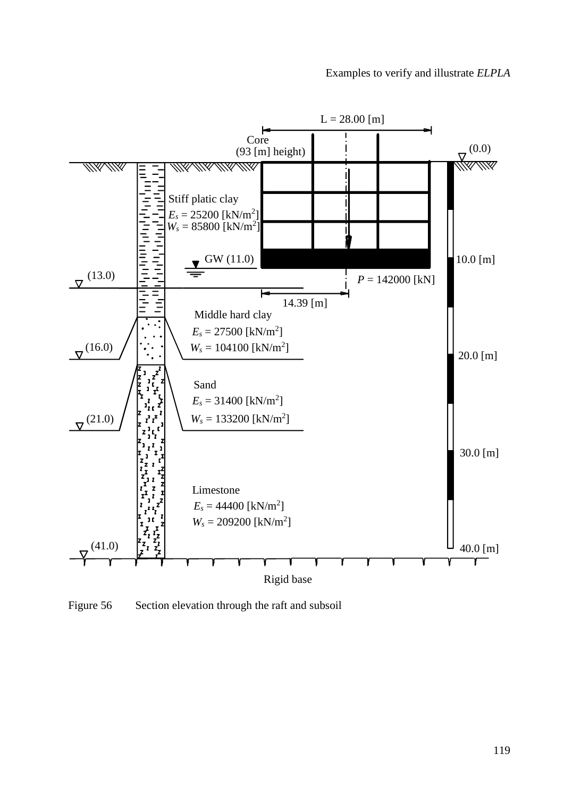

<span id="page-1-0"></span>Figure 56 Section elevation through the raft and subsoil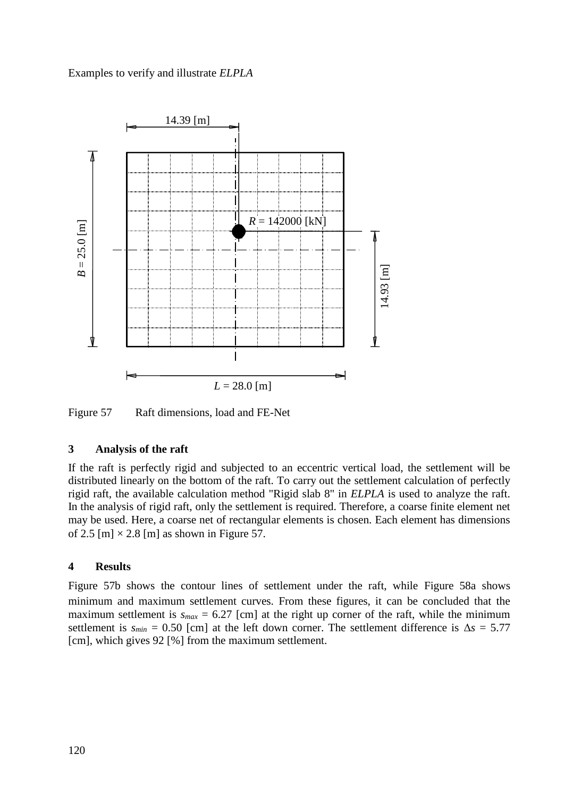# Examples to verify and illustrate *ELPLA*



<span id="page-2-0"></span>Figure 57 Raft dimensions, load and FE-Net

### **3 Analysis of the raft**

If the raft is perfectly rigid and subjected to an eccentric vertical load, the settlement will be distributed linearly on the bottom of the raft. To carry out the settlement calculation of perfectly rigid raft, the available calculation method "Rigid slab 8" in *ELPLA* is used to analyze the raft. In the analysis of rigid raft, only the settlement is required. Therefore, a coarse finite element net may be used. Here, a coarse net of rectangular elements is chosen. Each element has dimensions of 2.5 [m]  $\times$  2.8 [m] as shown in [Figure 57.](#page-2-0)

# **4 Results**

[Figure 57b](#page-2-0) shows the contour lines of settlement under the raft, while [Figure 58a](#page-3-0) shows minimum and maximum settlement curves. From these figures, it can be concluded that the maximum settlement is  $s_{max} = 6.27$  [cm] at the right up corner of the raft, while the minimum settlement is  $s_{min} = 0.50$  [cm] at the left down corner. The settlement difference is  $\Delta s = 5.77$ [cm], which gives 92 [%] from the maximum settlement.